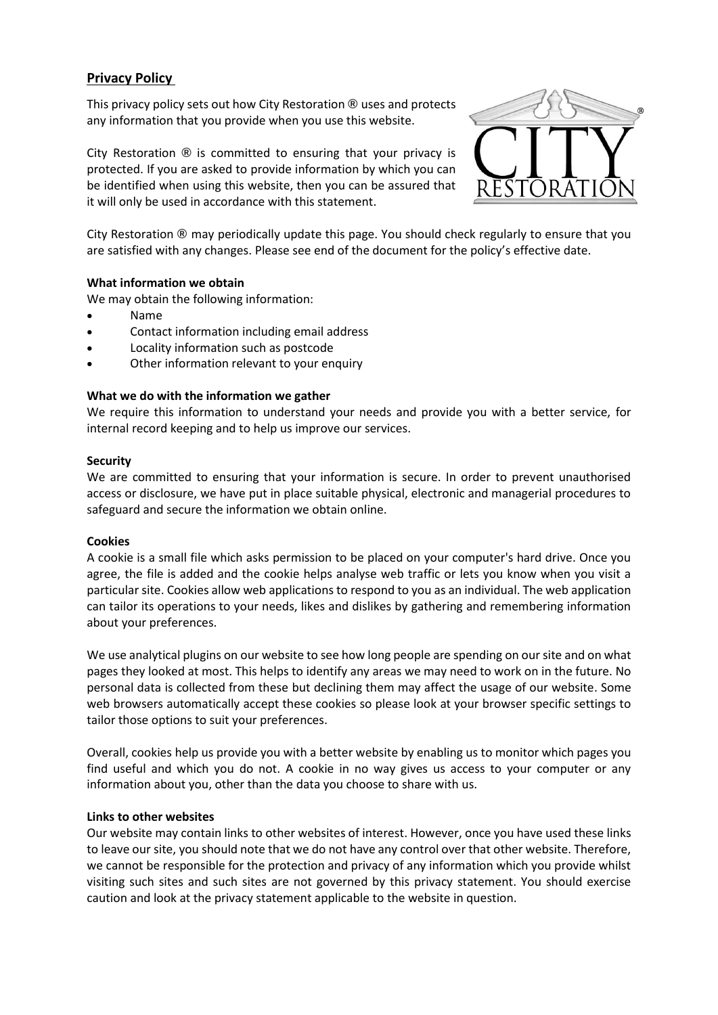# **Privacy Policy**

This privacy policy sets out how City Restoration **®** uses and protects any information that you provide when you use this website.

City Restoration **®** is committed to ensuring that your privacy is protected. If you are asked to provide information by which you can be identified when using this website, then you can be assured that it will only be used in accordance with this statement.



City Restoration **®** may periodically update this page. You should check regularly to ensure that you are satisfied with any changes. Please see end of the document for the policy's effective date.

## **What information we obtain**

We may obtain the following information:

- Name
- Contact information including email address
- Locality information such as postcode
- Other information relevant to your enquiry

## **What we do with the information we gather**

We require this information to understand your needs and provide you with a better service, for internal record keeping and to help us improve our services.

#### **Security**

We are committed to ensuring that your information is secure. In order to prevent unauthorised access or disclosure, we have put in place suitable physical, electronic and managerial procedures to safeguard and secure the information we obtain online.

## **Cookies**

A cookie is a small file which asks permission to be placed on your computer's hard drive. Once you agree, the file is added and the cookie helps analyse web traffic or lets you know when you visit a particular site. Cookies allow web applications to respond to you as an individual. The web application can tailor its operations to your needs, likes and dislikes by gathering and remembering information about your preferences.

We use analytical plugins on our website to see how long people are spending on our site and on what pages they looked at most. This helps to identify any areas we may need to work on in the future. No personal data is collected from these but declining them may affect the usage of our website. Some web browsers automatically accept these cookies so please look at your browser specific settings to tailor those options to suit your preferences.

Overall, cookies help us provide you with a better website by enabling us to monitor which pages you find useful and which you do not. A cookie in no way gives us access to your computer or any information about you, other than the data you choose to share with us.

## **Links to other websites**

Our website may contain links to other websites of interest. However, once you have used these links to leave our site, you should note that we do not have any control over that other website. Therefore, we cannot be responsible for the protection and privacy of any information which you provide whilst visiting such sites and such sites are not governed by this privacy statement. You should exercise caution and look at the privacy statement applicable to the website in question.